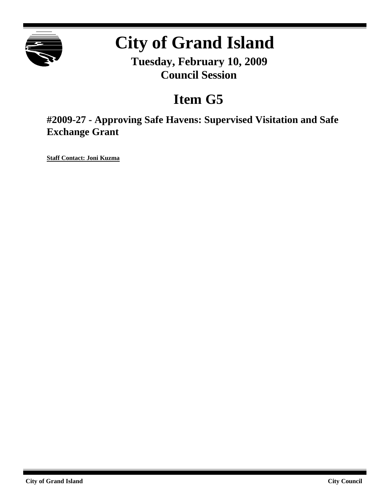

# **City of Grand Island**

**Tuesday, February 10, 2009 Council Session**

# **Item G5**

**#2009-27 - Approving Safe Havens: Supervised Visitation and Safe Exchange Grant**

**Staff Contact: Joni Kuzma**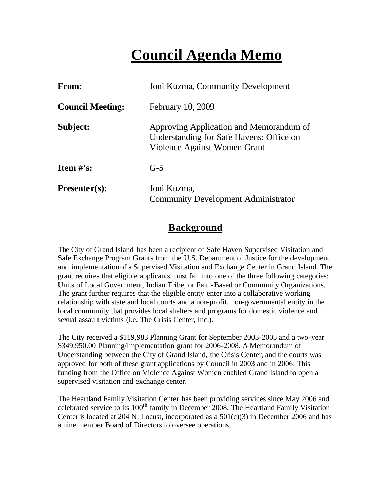# **Council Agenda Memo**

| <b>From:</b>                   | Joni Kuzma, Community Development                                                                                   |
|--------------------------------|---------------------------------------------------------------------------------------------------------------------|
| <b>Council Meeting:</b>        | February 10, 2009                                                                                                   |
| Subject:                       | Approving Application and Memorandum of<br>Understanding for Safe Havens: Office on<br>Violence Against Women Grant |
| <b>Item <math>\#</math>'s:</b> | $G-5$                                                                                                               |
| $Presenter(s):$                | Joni Kuzma,<br><b>Community Development Administrator</b>                                                           |

## **Background**

The City of Grand Island has been a recipient of Safe Haven Supervised Visitation and Safe Exchange Program Grants from the U.S. Department of Justice for the development and implementation of a Supervised Visitation and Exchange Center in Grand Island. The grant requires that eligible applicants must fall into one of the three following categories: Units of Local Government, Indian Tribe, or Faith-Based or Community Organizations. The grant further requires that the eligible entity enter into a collaborative working relationship with state and local courts and a non-profit, non-governmental entity in the local community that provides local shelters and programs for domestic violence and sexual assault victims (i.e. The Crisis Center, Inc.).

The City received a \$119,983 Planning Grant for September 2003-2005 and a two-year \$349,950.00 Planning/Implementation grant for 2006-2008. A Memorandum of Understanding between the City of Grand Island, the Crisis Center, and the courts was approved for both of these grant applications by Council in 2003 and in 2006. This funding from the Office on Violence Against Women enabled Grand Island to open a supervised visitation and exchange center.

The Heartland Family Visitation Center has been providing services since May 2006 and celebrated service to its 100<sup>th</sup> family in December 2008. The Heartland Family Visitation Center is located at 204 N. Locust, incorporated as a 501(c)(3) in December 2006 and has a nine member Board of Directors to oversee operations.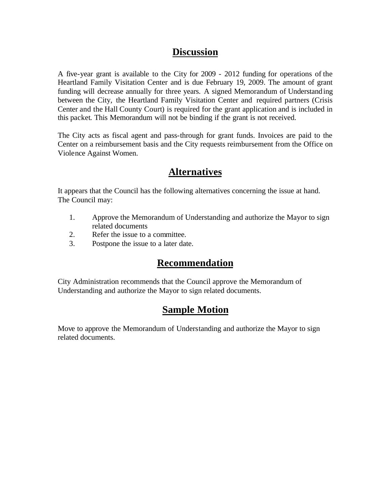# **Discussion**

A five-year grant is available to the City for 2009 - 2012 funding for operations of the Heartland Family Visitation Center and is due February 19, 2009. The amount of grant funding will decrease annually for three years. A signed Memorandum of Understanding between the City, the Heartland Family Visitation Center and required partners (Crisis Center and the Hall County Court) is required for the grant application and is included in this packet. This Memorandum will not be binding if the grant is not received.

The City acts as fiscal agent and pass-through for grant funds. Invoices are paid to the Center on a reimbursement basis and the City requests reimbursement from the Office on Violence Against Women.

# **Alternatives**

It appears that the Council has the following alternatives concerning the issue at hand. The Council may:

- 1. Approve the Memorandum of Understanding and authorize the Mayor to sign related documents
- 2. Refer the issue to a committee.
- 3. Postpone the issue to a later date.

# **Recommendation**

City Administration recommends that the Council approve the Memorandum of Understanding and authorize the Mayor to sign related documents.

# **Sample Motion**

Move to approve the Memorandum of Understanding and authorize the Mayor to sign related documents.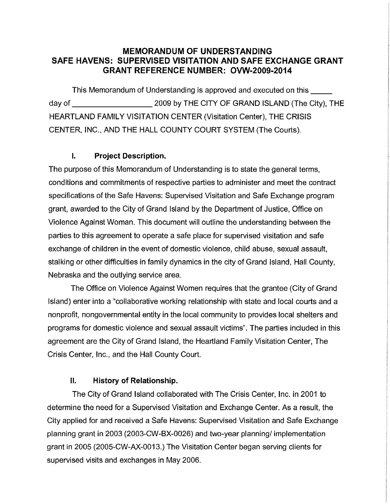### **MEMORANDUM OF UNDERSTANDING SAFE HAVENS: SUPERVISED VISITATION AND SAFE EXCHANGE GRANT GRANT REFERENCE NUMBER: OVW-2009-2014**

This Memorandum of Understanding is approved and executed on this 2009 by THE CITY OF GRAND ISLAND (The City). THE dav of the control of the control of the control of the control of the control of the control of the control o **HEARTLAND FAMILY VISITATION CENTER (Visitation Center), THE CRISIS** CENTER, INC., AND THE HALL COUNTY COURT SYSTEM (The Courts).

#### $\mathbf{I}$ . **Project Description.**

The purpose of this Memorandum of Understanding is to state the general terms, conditions and commitments of respective parties to administer and meet the contract specifications of the Safe Havens: Supervised Visitation and Safe Exchange program grant, awarded to the City of Grand Island by the Department of Justice, Office on Violence Against Woman, This document will outline the understanding between the parties to this agreement to operate a safe place for supervised visitation and safe exchange of children in the event of domestic violence, child abuse, sexual assault, stalking or other difficulties in family dynamics in the city of Grand Island. Hall County, Nebraska and the outlying service area.

The Office on Violence Against Women requires that the grantee (City of Grand Island) enter into a "collaborative working relationship with state and local courts and a nonprofit, nongovernmental entity in the local community to provides local shelters and programs for domestic violence and sexual assault victims". The parties included in this agreement are the City of Grand Island, the Heartland Family Visitation Center. The Crisis Center, Inc., and the Hall County Court.

#### $\Pi$ . **History of Relationship.**

The City of Grand Island collaborated with The Crisis Center, Inc. in 2001 to determine the need for a Supervised Visitation and Exchange Center. As a result, the City applied for and received a Safe Havens: Supervised Visitation and Safe Exchange planning grant in 2003 (2003-CW-BX-0026) and two-year planning/ implementation grant in 2005 (2005-CW-AX-0013.) The Visitation Center began serving clients for supervised visits and exchanges in May 2006.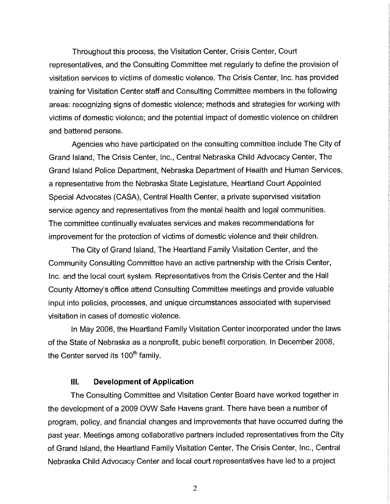Throughout this process, the Visitation Center, Crisis Center, Court representatives, and the Consulting Committee met regularly to define the provision of visitation services to victims of domestic violence. The Crisis Center, Inc. has provided training for Visitation Center staff and Consulting Committee members in the following areas: recognizing signs of domestic violence; methods and strategies for working with victims of domestic violence; and the potential impact of domestic violence on children and battered persons.

Agencies who have participated on the consulting committee include The City of Grand Island, The Crisis Center, Inc., Central Nebraska Child Advocacy Center, The Grand Island Police Department, Nebraska Department of Health and Human Services, a representative from the Nebraska State Legislature, Heartland Court Appointed Special Advocates (CASA), Central Health Center, a private supervised visitation service agency and representatives from the mental health and legal communities. The committee continually evaluates services and makes recommendations for improvement for the protection of victims of domestic violence and their children.

The City of Grand Island, The Heartland Family Visitation Center, and the Community Consulting Committee have an active partnership with the Crisis Center, Inc. and the local court system. Representatives from the Crisis Center and the Hall County Attorney's office attend Consulting Committee meetings and provide valuable input into policies, processes, and unique circumstances associated with supervised visitation in cases of domestic violence.

In May 2006, the Heartland Family Visitation Center incorporated under the laws of the State of Nebraska as a nonprofit, pubic benefit corporation. In December 2008, the Center served its 100<sup>th</sup> family.

#### $III.$ **Development of Application**

The Consulting Committee and Visitation Center Board have worked together in the development of a 2009 OVW Safe Havens grant. There have been a number of program, policy, and financial changes and improvements that have occurred during the past year. Meetings among collaborative partners included representatives from the City of Grand Island, the Heartland Family Visitation Center, The Crisis Center, Inc., Central Nebraska Child Advocacy Center and local court representatives have led to a project

 $\overline{2}$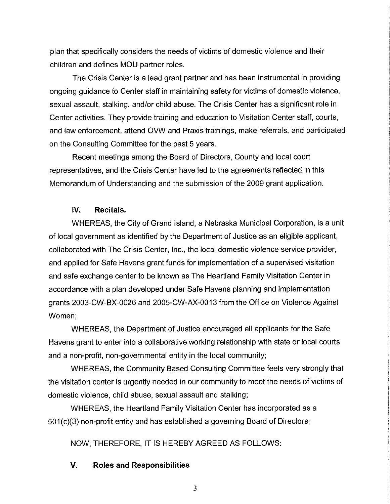plan that specifically considers the needs of victims of domestic violence and their children and defines MOU partner roles.

The Crisis Center is a lead grant partner and has been instrumental in providing ongoing guidance to Center staff in maintaining safety for victims of domestic violence, sexual assault, stalking, and/or child abuse. The Crisis Center has a significant role in Center activities. They provide training and education to Visitation Center staff, courts, and law enforcement, attend OVW and Praxis trainings, make referrals, and participated on the Consulting Committee for the past 5 years.

Recent meetings among the Board of Directors, County and local court representatives, and the Crisis Center have led to the agreements reflected in this Memorandum of Understanding and the submission of the 2009 grant application.

#### IV. Recitals.

WHEREAS, the City of Grand Island, a Nebraska Municipal Corporation, is a unit of local government as identified by the Department of Justice as an eligible applicant, collaborated with The Crisis Center, Inc., the local domestic violence service provider, and applied for Safe Havens grant funds for implementation of a supervised visitation and safe exchange center to be known as The Heartland Family Visitation Center in accordance with a plan developed under Safe Havens planning and implementation grants 2003-CW-BX-0026 and 2005-CW-AX-0013 from the Office on Violence Against Women:

WHEREAS, the Department of Justice encouraged all applicants for the Safe Havens grant to enter into a collaborative working relationship with state or local courts and a non-profit, non-governmental entity in the local community;

WHEREAS, the Community Based Consulting Committee feels very strongly that the visitation center is urgently needed in our community to meet the needs of victims of domestic violence, child abuse, sexual assault and stalking;

WHEREAS, the Heartland Family Visitation Center has incorporated as a 501(c)(3) non-profit entity and has established a governing Board of Directors;

NOW, THEREFORE, IT IS HEREBY AGREED AS FOLLOWS:

#### V. **Roles and Responsibilities**

 $\overline{3}$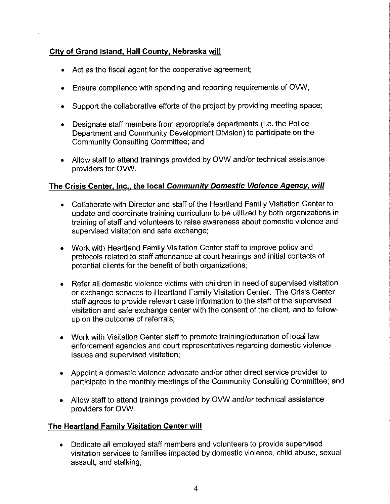## City of Grand Island, Hall County, Nebraska will

- Act as the fiscal agent for the cooperative agreement;
- Ensure compliance with spending and reporting requirements of OVW;  $\bullet$
- Support the collaborative efforts of the project by providing meeting space;  $\bullet$
- Designate staff members from appropriate departments (i.e. the Police Department and Community Development Division) to participate on the Community Consulting Committee; and
- Allow staff to attend trainings provided by OVW and/or technical assistance providers for OVW.

## The Crisis Center, Inc., the local Community Domestic Violence Agency, will

- Collaborate with Director and staff of the Heartland Family Visitation Center to update and coordinate training curriculum to be utilized by both organizations in training of staff and volunteers to raise awareness about domestic violence and supervised visitation and safe exchange;
- Work with Heartland Family Visitation Center staff to improve policy and protocols related to staff attendance at court hearings and initial contacts of potential clients for the benefit of both organizations;
- Refer all domestic violence victims with children in need of supervised visitation or exchange services to Heartland Family Visitation Center. The Crisis Center staff agrees to provide relevant case information to the staff of the supervised visitation and safe exchange center with the consent of the client, and to followup on the outcome of referrals;
- Work with Visitation Center staff to promote training/education of local law  $\bullet$ enforcement agencies and court representatives regarding domestic violence issues and supervised visitation:
- Appoint a domestic violence advocate and/or other direct service provider to participate in the monthly meetings of the Community Consulting Committee; and
- Allow staff to attend trainings provided by OVW and/or technical assistance  $\bullet$ providers for OVW.

### The Heartland Family Visitation Center will

Dedicate all employed staff members and volunteers to provide supervised  $\bullet$ visitation services to families impacted by domestic violence, child abuse, sexual assault, and stalking;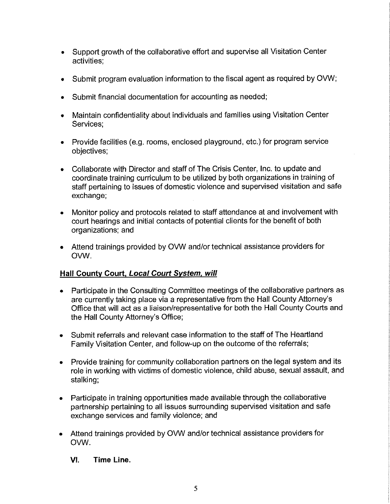- Support growth of the collaborative effort and supervise all Visitation Center  $\bullet$ activities:
- Submit program evaluation information to the fiscal agent as required by OVW;
- Submit financial documentation for accounting as needed;
- Maintain confidentiality about individuals and families using Visitation Center Services:
- Provide facilities (e.g. rooms, enclosed playground, etc.) for program service objectives;
- Collaborate with Director and staff of The Crisis Center, Inc. to update and coordinate training curriculum to be utilized by both organizations in training of staff pertaining to issues of domestic violence and supervised visitation and safe exchange;
- Monitor policy and protocols related to staff attendance at and involvement with  $\bullet$ court hearings and initial contacts of potential clients for the benefit of both organizations; and
- Attend trainings provided by OVW and/or technical assistance providers for OVW.

### Hall County Court, Local Court System, will

- Participate in the Consulting Committee meetings of the collaborative partners as are currently taking place via a representative from the Hall County Attorney's Office that will act as a liaison/representative for both the Hall County Courts and the Hall County Attorney's Office;
- Submit referrals and relevant case information to the staff of The Heartland Family Visitation Center, and follow-up on the outcome of the referrals;
- Provide training for community collaboration partners on the legal system and its  $\bullet$ role in working with victims of domestic violence, child abuse, sexual assault, and stalking:
- Participate in training opportunities made available through the collaborative partnership pertaining to all issues surrounding supervised visitation and safe exchange services and family violence; and
- Attend trainings provided by OVW and/or technical assistance providers for  $\bullet$ OVW.
	- VI. Time Line.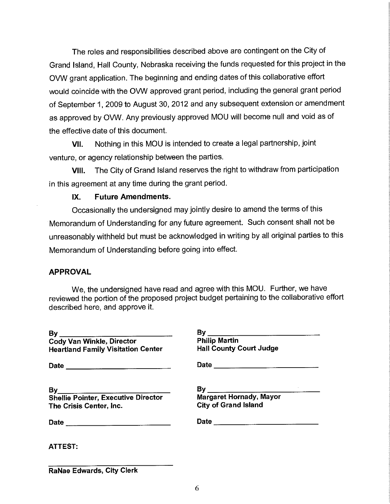The roles and responsibilities described above are contingent on the City of Grand Island, Hall County, Nebraska receiving the funds requested for this project in the OVW grant application. The beginning and ending dates of this collaborative effort would coincide with the OVW approved grant period, including the general grant period of September 1, 2009 to August 30, 2012 and any subsequent extension or amendment as approved by OVW. Any previously approved MOU will become null and void as of the effective date of this document.

Nothing in this MOU is intended to create a legal partnership, joint VII. venture, or agency relationship between the parties.

The City of Grand Island reserves the right to withdraw from participation VIII. in this agreement at any time during the grant period.

#### **Future Amendments.** IX.

Occasionally the undersigned may jointly desire to amend the terms of this Memorandum of Understanding for any future agreement. Such consent shall not be unreasonably withheld but must be acknowledged in writing by all original parties to this Memorandum of Understanding before going into effect.

### **APPROVAL**

We, the undersigned have read and agree with this MOU. Further, we have reviewed the portion of the proposed project budget pertaining to the collaborative effort described here, and approve it.

| <b>Cody Van Winkle, Director</b>           | <b>Philip Martin</b>           |
|--------------------------------------------|--------------------------------|
| <b>Heartland Family Visitation Center</b>  | <b>Hall County Court Judge</b> |
| Date ________________________________      |                                |
|                                            |                                |
| <b>Shellie Pointer, Executive Director</b> | Margaret Hornady, Mayor        |
| The Crisis Center, Inc.                    | <b>City of Grand Island</b>    |
|                                            |                                |
| <b>ATTEST:</b>                             |                                |

RaNae Edwards, City Clerk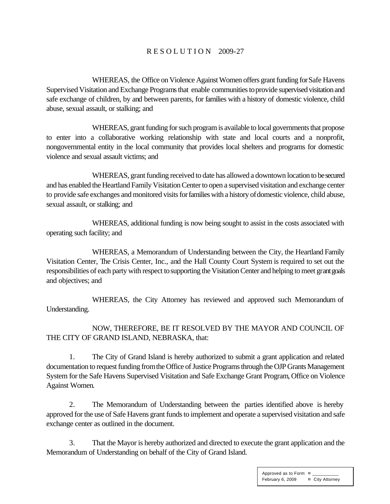### R E S O L U T I O N 2009-27

WHEREAS, the Office on Violence Against Women offers grant funding for Safe Havens Supervised Visitation and Exchange Programs that enable communities to provide supervised visitation and safe exchange of children, by and between parents, for families with a history of domestic violence, child abuse, sexual assault, or stalking; and

WHEREAS, grant funding for such program is available to local governments that propose to enter into a collaborative working relationship with state and local courts and a nonprofit, nongovernmental entity in the local community that provides local shelters and programs for domestic violence and sexual assault victims; and

WHEREAS, grant funding received to date has allowed a downtown location to be secured and has enabled the Heartland Family Visitation Center to open a supervised visitation and exchange center to provide safe exchanges and monitored visits for families with a history of domestic violence, child abuse, sexual assault, or stalking; and

WHEREAS, additional funding is now being sought to assist in the costs associated with operating such facility; and

WHEREAS, a Memorandum of Understanding between the City, the Heartland Family Visitation Center, The Crisis Center, Inc., and the Hall County Court System is required to set out the responsibilities of each party with respect to supporting the Visitation Center and helping to meet grant goals and objectives; and

WHEREAS, the City Attorney has reviewed and approved such Memorandum of Understanding.

NOW, THEREFORE, BE IT RESOLVED BY THE MAYOR AND COUNCIL OF THE CITY OF GRAND ISLAND, NEBRASKA, that:

1. The City of Grand Island is hereby authorized to submit a grant application and related documentation to request funding from the Office of Justice Programs through the OJP Grants Management System for the Safe Havens Supervised Visitation and Safe Exchange Grant Program, Office on Violence Against Women.

2. The Memorandum of Understanding between the parties identified above is hereby approved for the use of Safe Havens grant funds to implement and operate a supervised visitation and safe exchange center as outlined in the document.

3. That the Mayor is hereby authorized and directed to execute the grant application and the Memorandum of Understanding on behalf of the City of Grand Island.

> Approved as to Form  $\alpha$ February 6, 2009 ¤ City Attorney